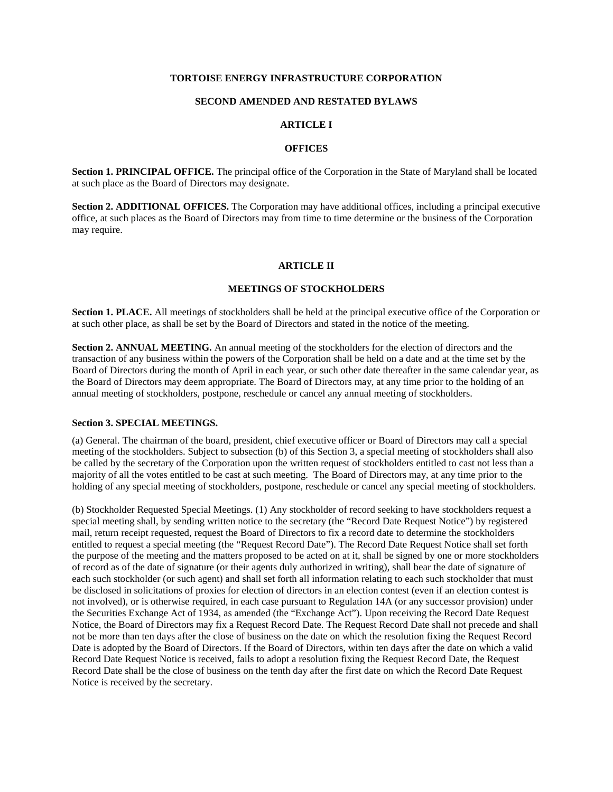# **TORTOISE ENERGY INFRASTRUCTURE CORPORATION**

# **SECOND AMENDED AND RESTATED BYLAWS**

### **ARTICLE I**

# **OFFICES**

**Section 1. PRINCIPAL OFFICE.** The principal office of the Corporation in the State of Maryland shall be located at such place as the Board of Directors may designate.

**Section 2. ADDITIONAL OFFICES.** The Corporation may have additional offices, including a principal executive office, at such places as the Board of Directors may from time to time determine or the business of the Corporation may require.

# **ARTICLE II**

## **MEETINGS OF STOCKHOLDERS**

**Section 1. PLACE.** All meetings of stockholders shall be held at the principal executive office of the Corporation or at such other place, as shall be set by the Board of Directors and stated in the notice of the meeting.

**Section 2. ANNUAL MEETING.** An annual meeting of the stockholders for the election of directors and the transaction of any business within the powers of the Corporation shall be held on a date and at the time set by the Board of Directors during the month of April in each year, or such other date thereafter in the same calendar year, as the Board of Directors may deem appropriate. The Board of Directors may, at any time prior to the holding of an annual meeting of stockholders, postpone, reschedule or cancel any annual meeting of stockholders.

#### **Section 3. SPECIAL MEETINGS.**

(a) General. The chairman of the board, president, chief executive officer or Board of Directors may call a special meeting of the stockholders. Subject to subsection (b) of this Section 3, a special meeting of stockholders shall also be called by the secretary of the Corporation upon the written request of stockholders entitled to cast not less than a majority of all the votes entitled to be cast at such meeting. The Board of Directors may, at any time prior to the holding of any special meeting of stockholders, postpone, reschedule or cancel any special meeting of stockholders.

(b) Stockholder Requested Special Meetings. (1) Any stockholder of record seeking to have stockholders request a special meeting shall, by sending written notice to the secretary (the "Record Date Request Notice") by registered mail, return receipt requested, request the Board of Directors to fix a record date to determine the stockholders entitled to request a special meeting (the "Request Record Date"). The Record Date Request Notice shall set forth the purpose of the meeting and the matters proposed to be acted on at it, shall be signed by one or more stockholders of record as of the date of signature (or their agents duly authorized in writing), shall bear the date of signature of each such stockholder (or such agent) and shall set forth all information relating to each such stockholder that must be disclosed in solicitations of proxies for election of directors in an election contest (even if an election contest is not involved), or is otherwise required, in each case pursuant to Regulation 14A (or any successor provision) under the Securities Exchange Act of 1934, as amended (the "Exchange Act"). Upon receiving the Record Date Request Notice, the Board of Directors may fix a Request Record Date. The Request Record Date shall not precede and shall not be more than ten days after the close of business on the date on which the resolution fixing the Request Record Date is adopted by the Board of Directors. If the Board of Directors, within ten days after the date on which a valid Record Date Request Notice is received, fails to adopt a resolution fixing the Request Record Date, the Request Record Date shall be the close of business on the tenth day after the first date on which the Record Date Request Notice is received by the secretary.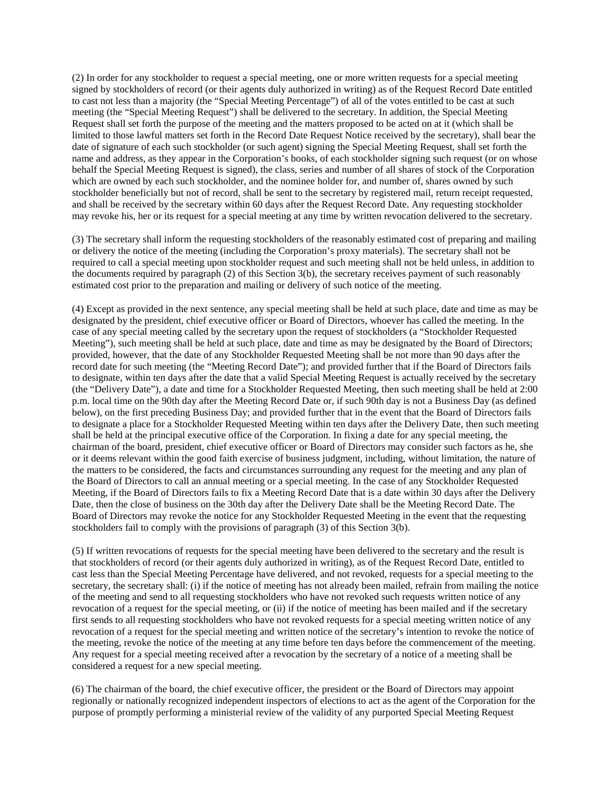(2) In order for any stockholder to request a special meeting, one or more written requests for a special meeting signed by stockholders of record (or their agents duly authorized in writing) as of the Request Record Date entitled to cast not less than a majority (the "Special Meeting Percentage") of all of the votes entitled to be cast at such meeting (the "Special Meeting Request") shall be delivered to the secretary. In addition, the Special Meeting Request shall set forth the purpose of the meeting and the matters proposed to be acted on at it (which shall be limited to those lawful matters set forth in the Record Date Request Notice received by the secretary), shall bear the date of signature of each such stockholder (or such agent) signing the Special Meeting Request, shall set forth the name and address, as they appear in the Corporation's books, of each stockholder signing such request (or on whose behalf the Special Meeting Request is signed), the class, series and number of all shares of stock of the Corporation which are owned by each such stockholder, and the nominee holder for, and number of, shares owned by such stockholder beneficially but not of record, shall be sent to the secretary by registered mail, return receipt requested, and shall be received by the secretary within 60 days after the Request Record Date. Any requesting stockholder may revoke his, her or its request for a special meeting at any time by written revocation delivered to the secretary.

(3) The secretary shall inform the requesting stockholders of the reasonably estimated cost of preparing and mailing or delivery the notice of the meeting (including the Corporation's proxy materials). The secretary shall not be required to call a special meeting upon stockholder request and such meeting shall not be held unless, in addition to the documents required by paragraph (2) of this Section 3(b), the secretary receives payment of such reasonably estimated cost prior to the preparation and mailing or delivery of such notice of the meeting.

(4) Except as provided in the next sentence, any special meeting shall be held at such place, date and time as may be designated by the president, chief executive officer or Board of Directors, whoever has called the meeting. In the case of any special meeting called by the secretary upon the request of stockholders (a "Stockholder Requested Meeting"), such meeting shall be held at such place, date and time as may be designated by the Board of Directors; provided, however, that the date of any Stockholder Requested Meeting shall be not more than 90 days after the record date for such meeting (the "Meeting Record Date"); and provided further that if the Board of Directors fails to designate, within ten days after the date that a valid Special Meeting Request is actually received by the secretary (the "Delivery Date"), a date and time for a Stockholder Requested Meeting, then such meeting shall be held at 2:00 p.m. local time on the 90th day after the Meeting Record Date or, if such 90th day is not a Business Day (as defined below), on the first preceding Business Day; and provided further that in the event that the Board of Directors fails to designate a place for a Stockholder Requested Meeting within ten days after the Delivery Date, then such meeting shall be held at the principal executive office of the Corporation. In fixing a date for any special meeting, the chairman of the board, president, chief executive officer or Board of Directors may consider such factors as he, she or it deems relevant within the good faith exercise of business judgment, including, without limitation, the nature of the matters to be considered, the facts and circumstances surrounding any request for the meeting and any plan of the Board of Directors to call an annual meeting or a special meeting. In the case of any Stockholder Requested Meeting, if the Board of Directors fails to fix a Meeting Record Date that is a date within 30 days after the Delivery Date, then the close of business on the 30th day after the Delivery Date shall be the Meeting Record Date. The Board of Directors may revoke the notice for any Stockholder Requested Meeting in the event that the requesting stockholders fail to comply with the provisions of paragraph (3) of this Section 3(b).

(5) If written revocations of requests for the special meeting have been delivered to the secretary and the result is that stockholders of record (or their agents duly authorized in writing), as of the Request Record Date, entitled to cast less than the Special Meeting Percentage have delivered, and not revoked, requests for a special meeting to the secretary, the secretary shall: (i) if the notice of meeting has not already been mailed, refrain from mailing the notice of the meeting and send to all requesting stockholders who have not revoked such requests written notice of any revocation of a request for the special meeting, or (ii) if the notice of meeting has been mailed and if the secretary first sends to all requesting stockholders who have not revoked requests for a special meeting written notice of any revocation of a request for the special meeting and written notice of the secretary's intention to revoke the notice of the meeting, revoke the notice of the meeting at any time before ten days before the commencement of the meeting. Any request for a special meeting received after a revocation by the secretary of a notice of a meeting shall be considered a request for a new special meeting.

(6) The chairman of the board, the chief executive officer, the president or the Board of Directors may appoint regionally or nationally recognized independent inspectors of elections to act as the agent of the Corporation for the purpose of promptly performing a ministerial review of the validity of any purported Special Meeting Request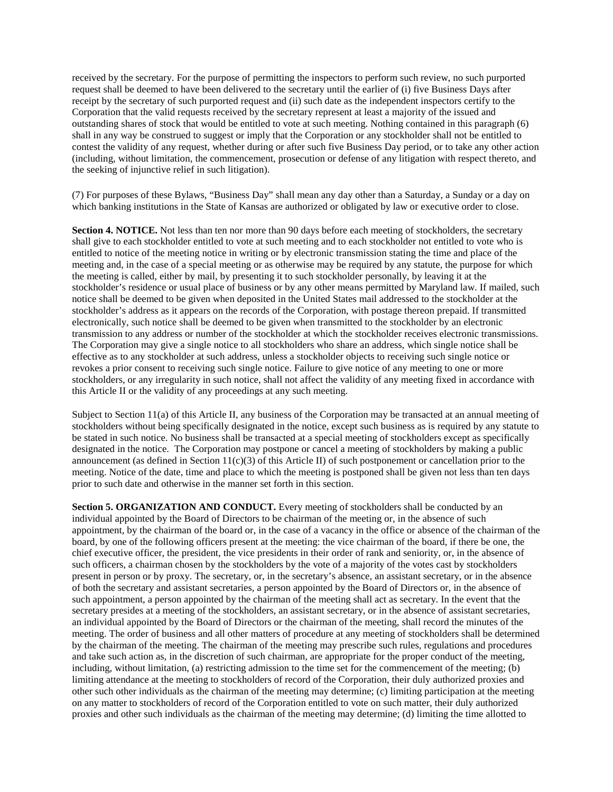received by the secretary. For the purpose of permitting the inspectors to perform such review, no such purported request shall be deemed to have been delivered to the secretary until the earlier of (i) five Business Days after receipt by the secretary of such purported request and (ii) such date as the independent inspectors certify to the Corporation that the valid requests received by the secretary represent at least a majority of the issued and outstanding shares of stock that would be entitled to vote at such meeting. Nothing contained in this paragraph (6) shall in any way be construed to suggest or imply that the Corporation or any stockholder shall not be entitled to contest the validity of any request, whether during or after such five Business Day period, or to take any other action (including, without limitation, the commencement, prosecution or defense of any litigation with respect thereto, and the seeking of injunctive relief in such litigation).

(7) For purposes of these Bylaws, "Business Day" shall mean any day other than a Saturday, a Sunday or a day on which banking institutions in the State of Kansas are authorized or obligated by law or executive order to close.

**Section 4. NOTICE.** Not less than ten nor more than 90 days before each meeting of stockholders, the secretary shall give to each stockholder entitled to vote at such meeting and to each stockholder not entitled to vote who is entitled to notice of the meeting notice in writing or by electronic transmission stating the time and place of the meeting and, in the case of a special meeting or as otherwise may be required by any statute, the purpose for which the meeting is called, either by mail, by presenting it to such stockholder personally, by leaving it at the stockholder's residence or usual place of business or by any other means permitted by Maryland law. If mailed, such notice shall be deemed to be given when deposited in the United States mail addressed to the stockholder at the stockholder's address as it appears on the records of the Corporation, with postage thereon prepaid. If transmitted electronically, such notice shall be deemed to be given when transmitted to the stockholder by an electronic transmission to any address or number of the stockholder at which the stockholder receives electronic transmissions. The Corporation may give a single notice to all stockholders who share an address, which single notice shall be effective as to any stockholder at such address, unless a stockholder objects to receiving such single notice or revokes a prior consent to receiving such single notice. Failure to give notice of any meeting to one or more stockholders, or any irregularity in such notice, shall not affect the validity of any meeting fixed in accordance with this Article II or the validity of any proceedings at any such meeting.

Subject to Section 11(a) of this Article II, any business of the Corporation may be transacted at an annual meeting of stockholders without being specifically designated in the notice, except such business as is required by any statute to be stated in such notice. No business shall be transacted at a special meeting of stockholders except as specifically designated in the notice. The Corporation may postpone or cancel a meeting of stockholders by making a public announcement (as defined in Section  $11(c)(3)$  of this Article II) of such postponement or cancellation prior to the meeting. Notice of the date, time and place to which the meeting is postponed shall be given not less than ten days prior to such date and otherwise in the manner set forth in this section.

**Section 5. ORGANIZATION AND CONDUCT.** Every meeting of stockholders shall be conducted by an individual appointed by the Board of Directors to be chairman of the meeting or, in the absence of such appointment, by the chairman of the board or, in the case of a vacancy in the office or absence of the chairman of the board, by one of the following officers present at the meeting: the vice chairman of the board, if there be one, the chief executive officer, the president, the vice presidents in their order of rank and seniority, or, in the absence of such officers, a chairman chosen by the stockholders by the vote of a majority of the votes cast by stockholders present in person or by proxy. The secretary, or, in the secretary's absence, an assistant secretary, or in the absence of both the secretary and assistant secretaries, a person appointed by the Board of Directors or, in the absence of such appointment, a person appointed by the chairman of the meeting shall act as secretary. In the event that the secretary presides at a meeting of the stockholders, an assistant secretary, or in the absence of assistant secretaries, an individual appointed by the Board of Directors or the chairman of the meeting, shall record the minutes of the meeting. The order of business and all other matters of procedure at any meeting of stockholders shall be determined by the chairman of the meeting. The chairman of the meeting may prescribe such rules, regulations and procedures and take such action as, in the discretion of such chairman, are appropriate for the proper conduct of the meeting, including, without limitation, (a) restricting admission to the time set for the commencement of the meeting; (b) limiting attendance at the meeting to stockholders of record of the Corporation, their duly authorized proxies and other such other individuals as the chairman of the meeting may determine; (c) limiting participation at the meeting on any matter to stockholders of record of the Corporation entitled to vote on such matter, their duly authorized proxies and other such individuals as the chairman of the meeting may determine; (d) limiting the time allotted to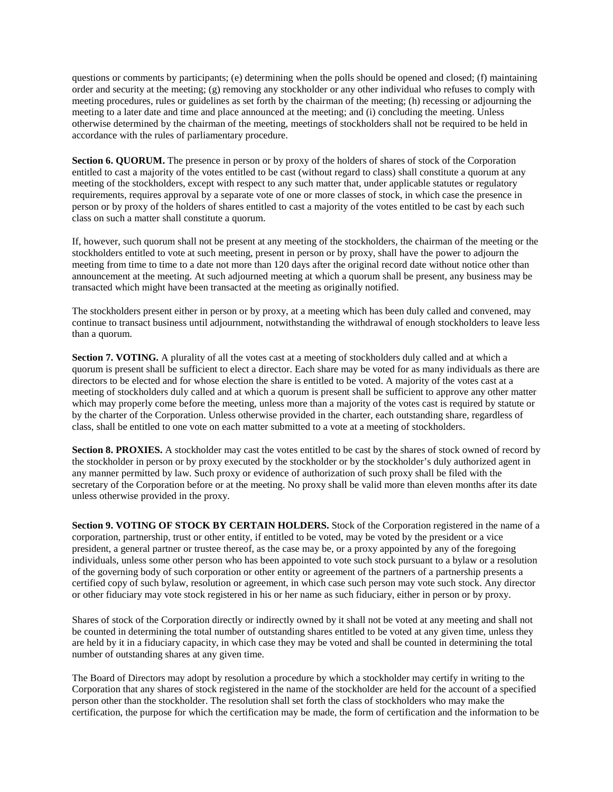questions or comments by participants; (e) determining when the polls should be opened and closed; (f) maintaining order and security at the meeting; (g) removing any stockholder or any other individual who refuses to comply with meeting procedures, rules or guidelines as set forth by the chairman of the meeting; (h) recessing or adjourning the meeting to a later date and time and place announced at the meeting; and (i) concluding the meeting. Unless otherwise determined by the chairman of the meeting, meetings of stockholders shall not be required to be held in accordance with the rules of parliamentary procedure.

**Section 6. QUORUM.** The presence in person or by proxy of the holders of shares of stock of the Corporation entitled to cast a majority of the votes entitled to be cast (without regard to class) shall constitute a quorum at any meeting of the stockholders, except with respect to any such matter that, under applicable statutes or regulatory requirements, requires approval by a separate vote of one or more classes of stock, in which case the presence in person or by proxy of the holders of shares entitled to cast a majority of the votes entitled to be cast by each such class on such a matter shall constitute a quorum.

If, however, such quorum shall not be present at any meeting of the stockholders, the chairman of the meeting or the stockholders entitled to vote at such meeting, present in person or by proxy, shall have the power to adjourn the meeting from time to time to a date not more than 120 days after the original record date without notice other than announcement at the meeting. At such adjourned meeting at which a quorum shall be present, any business may be transacted which might have been transacted at the meeting as originally notified.

The stockholders present either in person or by proxy, at a meeting which has been duly called and convened, may continue to transact business until adjournment, notwithstanding the withdrawal of enough stockholders to leave less than a quorum.

**Section 7. VOTING.** A plurality of all the votes cast at a meeting of stockholders duly called and at which a quorum is present shall be sufficient to elect a director. Each share may be voted for as many individuals as there are directors to be elected and for whose election the share is entitled to be voted. A majority of the votes cast at a meeting of stockholders duly called and at which a quorum is present shall be sufficient to approve any other matter which may properly come before the meeting, unless more than a majority of the votes cast is required by statute or by the charter of the Corporation. Unless otherwise provided in the charter, each outstanding share, regardless of class, shall be entitled to one vote on each matter submitted to a vote at a meeting of stockholders.

**Section 8. PROXIES.** A stockholder may cast the votes entitled to be cast by the shares of stock owned of record by the stockholder in person or by proxy executed by the stockholder or by the stockholder's duly authorized agent in any manner permitted by law. Such proxy or evidence of authorization of such proxy shall be filed with the secretary of the Corporation before or at the meeting. No proxy shall be valid more than eleven months after its date unless otherwise provided in the proxy.

**Section 9. VOTING OF STOCK BY CERTAIN HOLDERS.** Stock of the Corporation registered in the name of a corporation, partnership, trust or other entity, if entitled to be voted, may be voted by the president or a vice president, a general partner or trustee thereof, as the case may be, or a proxy appointed by any of the foregoing individuals, unless some other person who has been appointed to vote such stock pursuant to a bylaw or a resolution of the governing body of such corporation or other entity or agreement of the partners of a partnership presents a certified copy of such bylaw, resolution or agreement, in which case such person may vote such stock. Any director or other fiduciary may vote stock registered in his or her name as such fiduciary, either in person or by proxy.

Shares of stock of the Corporation directly or indirectly owned by it shall not be voted at any meeting and shall not be counted in determining the total number of outstanding shares entitled to be voted at any given time, unless they are held by it in a fiduciary capacity, in which case they may be voted and shall be counted in determining the total number of outstanding shares at any given time.

The Board of Directors may adopt by resolution a procedure by which a stockholder may certify in writing to the Corporation that any shares of stock registered in the name of the stockholder are held for the account of a specified person other than the stockholder. The resolution shall set forth the class of stockholders who may make the certification, the purpose for which the certification may be made, the form of certification and the information to be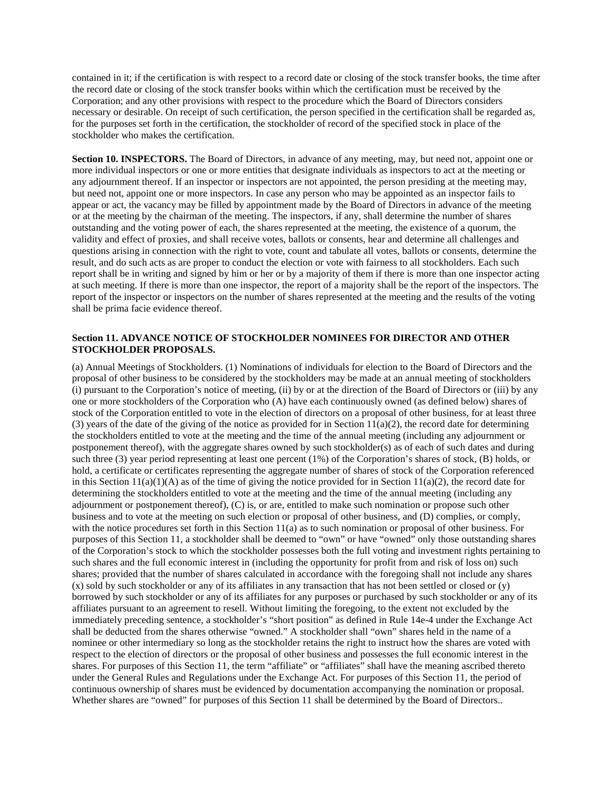contained in it; if the certification is with respect to a record date or closing of the stock transfer books, the time after the record date or closing of the stock transfer books within which the certification must be received by the Corporation; and any other provisions with respect to the procedure which the Board of Directors considers necessary or desirable. On receipt of such certification, the person specified in the certification shall be regarded as, for the purposes set forth in the certification, the stockholder of record of the specified stock in place of the stockholder who makes the certification.

**Section 10. INSPECTORS.** The Board of Directors, in advance of any meeting, may, but need not, appoint one or more individual inspectors or one or more entities that designate individuals as inspectors to act at the meeting or any adjournment thereof. If an inspector or inspectors are not appointed, the person presiding at the meeting may, but need not, appoint one or more inspectors. In case any person who may be appointed as an inspector fails to appear or act, the vacancy may be filled by appointment made by the Board of Directors in advance of the meeting or at the meeting by the chairman of the meeting. The inspectors, if any, shall determine the number of shares outstanding and the voting power of each, the shares represented at the meeting, the existence of a quorum, the validity and effect of proxies, and shall receive votes, ballots or consents, hear and determine all challenges and questions arising in connection with the right to vote, count and tabulate all votes, ballots or consents, determine the result, and do such acts as are proper to conduct the election or vote with fairness to all stockholders. Each such report shall be in writing and signed by him or her or by a majority of them if there is more than one inspector acting at such meeting. If there is more than one inspector, the report of a majority shall be the report of the inspectors. The report of the inspector or inspectors on the number of shares represented at the meeting and the results of the voting shall be prima facie evidence thereof.

# **Section 11. ADVANCE NOTICE OF STOCKHOLDER NOMINEES FOR DIRECTOR AND OTHER STOCKHOLDER PROPOSALS.**

(a) Annual Meetings of Stockholders. (1) Nominations of individuals for election to the Board of Directors and the proposal of other business to be considered by the stockholders may be made at an annual meeting of stockholders (i) pursuant to the Corporation's notice of meeting, (ii) by or at the direction of the Board of Directors or (iii) by any one or more stockholders of the Corporation who (A) have each continuously owned (as defined below) shares of stock of the Corporation entitled to vote in the election of directors on a proposal of other business, for at least three (3) years of the date of the giving of the notice as provided for in Section  $11(a)(2)$ , the record date for determining the stockholders entitled to vote at the meeting and the time of the annual meeting (including any adjournment or postponement thereof), with the aggregate shares owned by such stockholder(s) as of each of such dates and during such three (3) year period representing at least one percent (1%) of the Corporation's shares of stock, (B) holds, or hold, a certificate or certificates representing the aggregate number of shares of stock of the Corporation referenced in this Section  $11(a)(1)(A)$  as of the time of giving the notice provided for in Section  $11(a)(2)$ , the record date for determining the stockholders entitled to vote at the meeting and the time of the annual meeting (including any adjournment or postponement thereof), (C) is, or are, entitled to make such nomination or propose such other business and to vote at the meeting on such election or proposal of other business, and (D) complies, or comply, with the notice procedures set forth in this Section 11(a) as to such nomination or proposal of other business. For purposes of this Section 11, a stockholder shall be deemed to "own" or have "owned" only those outstanding shares of the Corporation's stock to which the stockholder possesses both the full voting and investment rights pertaining to such shares and the full economic interest in (including the opportunity for profit from and risk of loss on) such shares; provided that the number of shares calculated in accordance with the foregoing shall not include any shares (x) sold by such stockholder or any of its affiliates in any transaction that has not been settled or closed or (y) borrowed by such stockholder or any of its affiliates for any purposes or purchased by such stockholder or any of its affiliates pursuant to an agreement to resell. Without limiting the foregoing, to the extent not excluded by the immediately preceding sentence, a stockholder's "short position" as defined in Rule 14e-4 under the Exchange Act shall be deducted from the shares otherwise "owned." A stockholder shall "own" shares held in the name of a nominee or other intermediary so long as the stockholder retains the right to instruct how the shares are voted with respect to the election of directors or the proposal of other business and possesses the full economic interest in the shares. For purposes of this Section 11, the term "affiliate" or "affiliates" shall have the meaning ascribed thereto under the General Rules and Regulations under the Exchange Act. For purposes of this Section 11, the period of continuous ownership of shares must be evidenced by documentation accompanying the nomination or proposal. Whether shares are "owned" for purposes of this Section 11 shall be determined by the Board of Directors..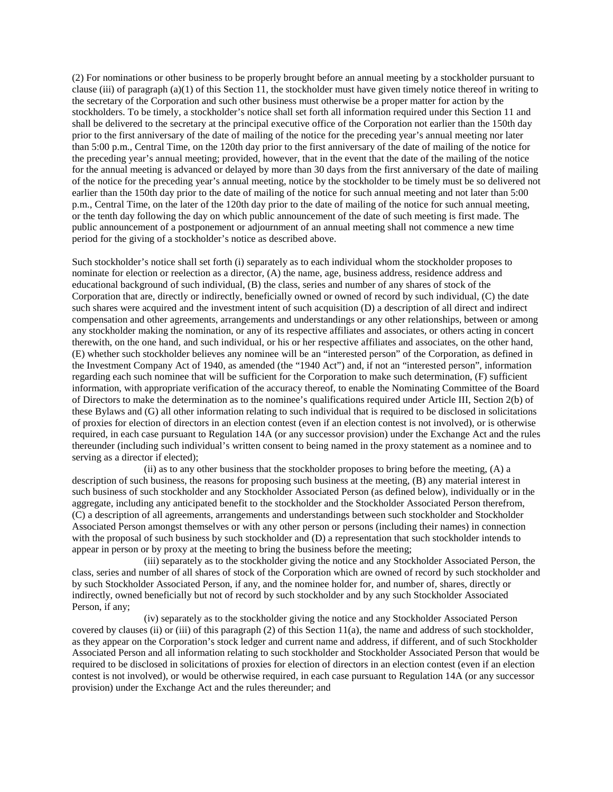(2) For nominations or other business to be properly brought before an annual meeting by a stockholder pursuant to clause (iii) of paragraph (a)(1) of this Section 11, the stockholder must have given timely notice thereof in writing to the secretary of the Corporation and such other business must otherwise be a proper matter for action by the stockholders. To be timely, a stockholder's notice shall set forth all information required under this Section 11 and shall be delivered to the secretary at the principal executive office of the Corporation not earlier than the 150th day prior to the first anniversary of the date of mailing of the notice for the preceding year's annual meeting nor later than 5:00 p.m., Central Time, on the 120th day prior to the first anniversary of the date of mailing of the notice for the preceding year's annual meeting; provided, however, that in the event that the date of the mailing of the notice for the annual meeting is advanced or delayed by more than 30 days from the first anniversary of the date of mailing of the notice for the preceding year's annual meeting, notice by the stockholder to be timely must be so delivered not earlier than the 150th day prior to the date of mailing of the notice for such annual meeting and not later than 5:00 p.m., Central Time, on the later of the 120th day prior to the date of mailing of the notice for such annual meeting, or the tenth day following the day on which public announcement of the date of such meeting is first made. The public announcement of a postponement or adjournment of an annual meeting shall not commence a new time period for the giving of a stockholder's notice as described above.

Such stockholder's notice shall set forth (i) separately as to each individual whom the stockholder proposes to nominate for election or reelection as a director, (A) the name, age, business address, residence address and educational background of such individual, (B) the class, series and number of any shares of stock of the Corporation that are, directly or indirectly, beneficially owned or owned of record by such individual, (C) the date such shares were acquired and the investment intent of such acquisition (D) a description of all direct and indirect compensation and other agreements, arrangements and understandings or any other relationships, between or among any stockholder making the nomination, or any of its respective affiliates and associates, or others acting in concert therewith, on the one hand, and such individual, or his or her respective affiliates and associates, on the other hand, (E) whether such stockholder believes any nominee will be an "interested person" of the Corporation, as defined in the Investment Company Act of 1940, as amended (the "1940 Act") and, if not an "interested person", information regarding each such nominee that will be sufficient for the Corporation to make such determination, (F) sufficient information, with appropriate verification of the accuracy thereof, to enable the Nominating Committee of the Board of Directors to make the determination as to the nominee's qualifications required under Article III, Section 2(b) of these Bylaws and (G) all other information relating to such individual that is required to be disclosed in solicitations of proxies for election of directors in an election contest (even if an election contest is not involved), or is otherwise required, in each case pursuant to Regulation 14A (or any successor provision) under the Exchange Act and the rules thereunder (including such individual's written consent to being named in the proxy statement as a nominee and to serving as a director if elected);

 $(iii)$  as to any other business that the stockholder proposes to bring before the meeting,  $(A)$  a description of such business, the reasons for proposing such business at the meeting, (B) any material interest in such business of such stockholder and any Stockholder Associated Person (as defined below), individually or in the aggregate, including any anticipated benefit to the stockholder and the Stockholder Associated Person therefrom, (C) a description of all agreements, arrangements and understandings between such stockholder and Stockholder Associated Person amongst themselves or with any other person or persons (including their names) in connection with the proposal of such business by such stockholder and (D) a representation that such stockholder intends to appear in person or by proxy at the meeting to bring the business before the meeting;

(iii) separately as to the stockholder giving the notice and any Stockholder Associated Person, the class, series and number of all shares of stock of the Corporation which are owned of record by such stockholder and by such Stockholder Associated Person, if any, and the nominee holder for, and number of, shares, directly or indirectly, owned beneficially but not of record by such stockholder and by any such Stockholder Associated Person, if any;

(iv) separately as to the stockholder giving the notice and any Stockholder Associated Person covered by clauses (ii) or (iii) of this paragraph (2) of this Section 11(a), the name and address of such stockholder, as they appear on the Corporation's stock ledger and current name and address, if different, and of such Stockholder Associated Person and all information relating to such stockholder and Stockholder Associated Person that would be required to be disclosed in solicitations of proxies for election of directors in an election contest (even if an election contest is not involved), or would be otherwise required, in each case pursuant to Regulation 14A (or any successor provision) under the Exchange Act and the rules thereunder; and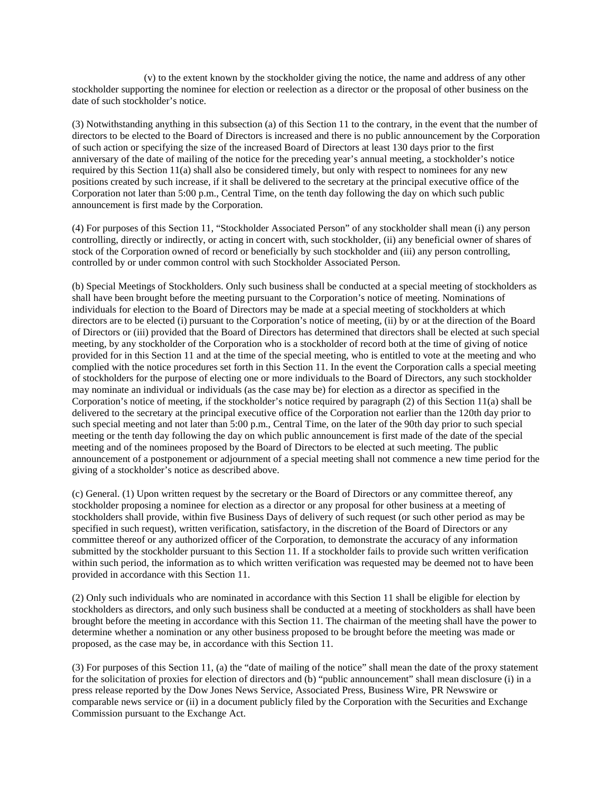(v) to the extent known by the stockholder giving the notice, the name and address of any other stockholder supporting the nominee for election or reelection as a director or the proposal of other business on the date of such stockholder's notice.

(3) Notwithstanding anything in this subsection (a) of this Section 11 to the contrary, in the event that the number of directors to be elected to the Board of Directors is increased and there is no public announcement by the Corporation of such action or specifying the size of the increased Board of Directors at least 130 days prior to the first anniversary of the date of mailing of the notice for the preceding year's annual meeting, a stockholder's notice required by this Section 11(a) shall also be considered timely, but only with respect to nominees for any new positions created by such increase, if it shall be delivered to the secretary at the principal executive office of the Corporation not later than 5:00 p.m., Central Time, on the tenth day following the day on which such public announcement is first made by the Corporation.

(4) For purposes of this Section 11, "Stockholder Associated Person" of any stockholder shall mean (i) any person controlling, directly or indirectly, or acting in concert with, such stockholder, (ii) any beneficial owner of shares of stock of the Corporation owned of record or beneficially by such stockholder and (iii) any person controlling, controlled by or under common control with such Stockholder Associated Person.

(b) Special Meetings of Stockholders. Only such business shall be conducted at a special meeting of stockholders as shall have been brought before the meeting pursuant to the Corporation's notice of meeting. Nominations of individuals for election to the Board of Directors may be made at a special meeting of stockholders at which directors are to be elected (i) pursuant to the Corporation's notice of meeting, (ii) by or at the direction of the Board of Directors or (iii) provided that the Board of Directors has determined that directors shall be elected at such special meeting, by any stockholder of the Corporation who is a stockholder of record both at the time of giving of notice provided for in this Section 11 and at the time of the special meeting, who is entitled to vote at the meeting and who complied with the notice procedures set forth in this Section 11. In the event the Corporation calls a special meeting of stockholders for the purpose of electing one or more individuals to the Board of Directors, any such stockholder may nominate an individual or individuals (as the case may be) for election as a director as specified in the Corporation's notice of meeting, if the stockholder's notice required by paragraph (2) of this Section 11(a) shall be delivered to the secretary at the principal executive office of the Corporation not earlier than the 120th day prior to such special meeting and not later than 5:00 p.m., Central Time, on the later of the 90th day prior to such special meeting or the tenth day following the day on which public announcement is first made of the date of the special meeting and of the nominees proposed by the Board of Directors to be elected at such meeting. The public announcement of a postponement or adjournment of a special meeting shall not commence a new time period for the giving of a stockholder's notice as described above.

(c) General. (1) Upon written request by the secretary or the Board of Directors or any committee thereof, any stockholder proposing a nominee for election as a director or any proposal for other business at a meeting of stockholders shall provide, within five Business Days of delivery of such request (or such other period as may be specified in such request), written verification, satisfactory, in the discretion of the Board of Directors or any committee thereof or any authorized officer of the Corporation, to demonstrate the accuracy of any information submitted by the stockholder pursuant to this Section 11. If a stockholder fails to provide such written verification within such period, the information as to which written verification was requested may be deemed not to have been provided in accordance with this Section 11.

(2) Only such individuals who are nominated in accordance with this Section 11 shall be eligible for election by stockholders as directors, and only such business shall be conducted at a meeting of stockholders as shall have been brought before the meeting in accordance with this Section 11. The chairman of the meeting shall have the power to determine whether a nomination or any other business proposed to be brought before the meeting was made or proposed, as the case may be, in accordance with this Section 11.

(3) For purposes of this Section 11, (a) the "date of mailing of the notice" shall mean the date of the proxy statement for the solicitation of proxies for election of directors and (b) "public announcement" shall mean disclosure (i) in a press release reported by the Dow Jones News Service, Associated Press, Business Wire, PR Newswire or comparable news service or (ii) in a document publicly filed by the Corporation with the Securities and Exchange Commission pursuant to the Exchange Act.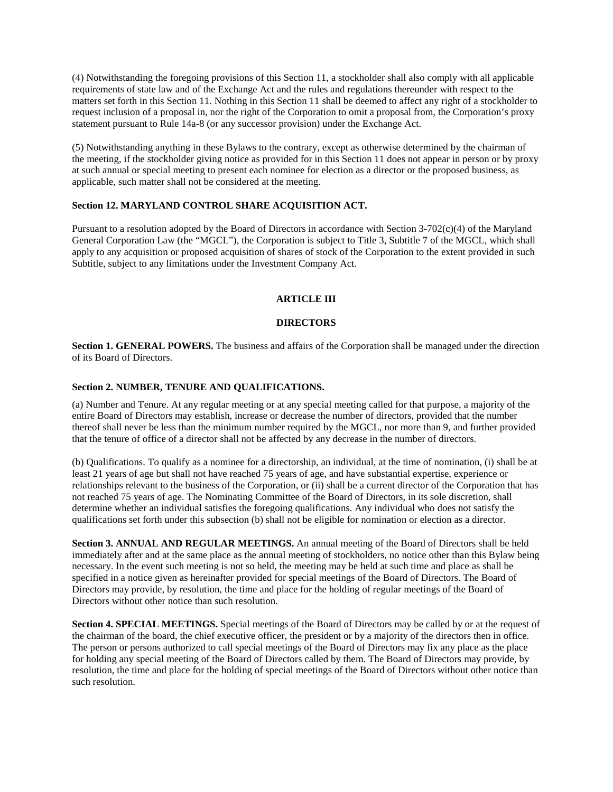(4) Notwithstanding the foregoing provisions of this Section 11, a stockholder shall also comply with all applicable requirements of state law and of the Exchange Act and the rules and regulations thereunder with respect to the matters set forth in this Section 11. Nothing in this Section 11 shall be deemed to affect any right of a stockholder to request inclusion of a proposal in, nor the right of the Corporation to omit a proposal from, the Corporation's proxy statement pursuant to Rule 14a-8 (or any successor provision) under the Exchange Act.

(5) Notwithstanding anything in these Bylaws to the contrary, except as otherwise determined by the chairman of the meeting, if the stockholder giving notice as provided for in this Section 11 does not appear in person or by proxy at such annual or special meeting to present each nominee for election as a director or the proposed business, as applicable, such matter shall not be considered at the meeting.

# **Section 12. MARYLAND CONTROL SHARE ACQUISITION ACT.**

Pursuant to a resolution adopted by the Board of Directors in accordance with Section 3-702(c)(4) of the Maryland General Corporation Law (the "MGCL"), the Corporation is subject to Title 3, Subtitle 7 of the MGCL, which shall apply to any acquisition or proposed acquisition of shares of stock of the Corporation to the extent provided in such Subtitle, subject to any limitations under the Investment Company Act.

# **ARTICLE III**

# **DIRECTORS**

**Section 1. GENERAL POWERS.** The business and affairs of the Corporation shall be managed under the direction of its Board of Directors.

# **Section 2. NUMBER, TENURE AND QUALIFICATIONS.**

(a) Number and Tenure. At any regular meeting or at any special meeting called for that purpose, a majority of the entire Board of Directors may establish, increase or decrease the number of directors, provided that the number thereof shall never be less than the minimum number required by the MGCL, nor more than 9, and further provided that the tenure of office of a director shall not be affected by any decrease in the number of directors.

(b) Qualifications. To qualify as a nominee for a directorship, an individual, at the time of nomination, (i) shall be at least 21 years of age but shall not have reached 75 years of age, and have substantial expertise, experience or relationships relevant to the business of the Corporation, or (ii) shall be a current director of the Corporation that has not reached 75 years of age. The Nominating Committee of the Board of Directors, in its sole discretion, shall determine whether an individual satisfies the foregoing qualifications. Any individual who does not satisfy the qualifications set forth under this subsection (b) shall not be eligible for nomination or election as a director.

**Section 3. ANNUAL AND REGULAR MEETINGS.** An annual meeting of the Board of Directors shall be held immediately after and at the same place as the annual meeting of stockholders, no notice other than this Bylaw being necessary. In the event such meeting is not so held, the meeting may be held at such time and place as shall be specified in a notice given as hereinafter provided for special meetings of the Board of Directors. The Board of Directors may provide, by resolution, the time and place for the holding of regular meetings of the Board of Directors without other notice than such resolution.

**Section 4. SPECIAL MEETINGS.** Special meetings of the Board of Directors may be called by or at the request of the chairman of the board, the chief executive officer, the president or by a majority of the directors then in office. The person or persons authorized to call special meetings of the Board of Directors may fix any place as the place for holding any special meeting of the Board of Directors called by them. The Board of Directors may provide, by resolution, the time and place for the holding of special meetings of the Board of Directors without other notice than such resolution.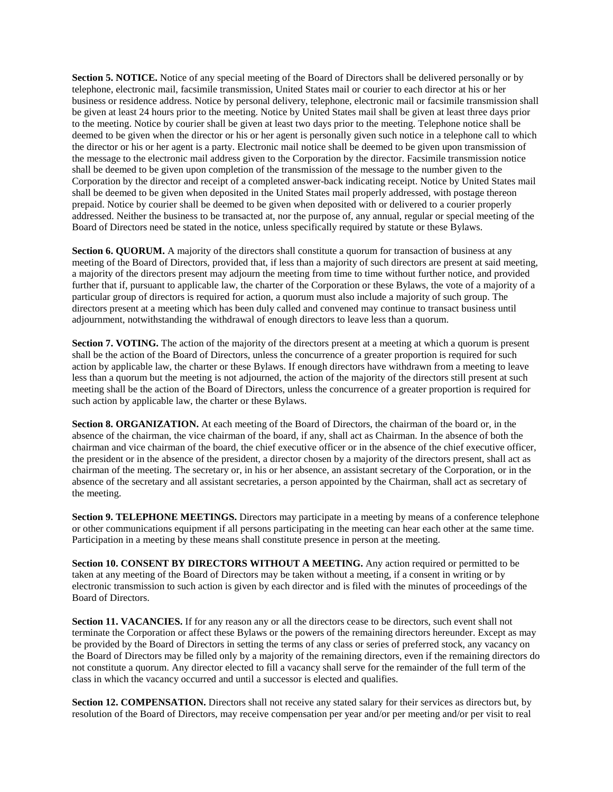**Section 5. NOTICE.** Notice of any special meeting of the Board of Directors shall be delivered personally or by telephone, electronic mail, facsimile transmission, United States mail or courier to each director at his or her business or residence address. Notice by personal delivery, telephone, electronic mail or facsimile transmission shall be given at least 24 hours prior to the meeting. Notice by United States mail shall be given at least three days prior to the meeting. Notice by courier shall be given at least two days prior to the meeting. Telephone notice shall be deemed to be given when the director or his or her agent is personally given such notice in a telephone call to which the director or his or her agent is a party. Electronic mail notice shall be deemed to be given upon transmission of the message to the electronic mail address given to the Corporation by the director. Facsimile transmission notice shall be deemed to be given upon completion of the transmission of the message to the number given to the Corporation by the director and receipt of a completed answer-back indicating receipt. Notice by United States mail shall be deemed to be given when deposited in the United States mail properly addressed, with postage thereon prepaid. Notice by courier shall be deemed to be given when deposited with or delivered to a courier properly addressed. Neither the business to be transacted at, nor the purpose of, any annual, regular or special meeting of the Board of Directors need be stated in the notice, unless specifically required by statute or these Bylaws.

**Section 6. QUORUM.** A majority of the directors shall constitute a quorum for transaction of business at any meeting of the Board of Directors, provided that, if less than a majority of such directors are present at said meeting, a majority of the directors present may adjourn the meeting from time to time without further notice, and provided further that if, pursuant to applicable law, the charter of the Corporation or these Bylaws, the vote of a majority of a particular group of directors is required for action, a quorum must also include a majority of such group. The directors present at a meeting which has been duly called and convened may continue to transact business until adjournment, notwithstanding the withdrawal of enough directors to leave less than a quorum.

**Section 7. VOTING.** The action of the majority of the directors present at a meeting at which a quorum is present shall be the action of the Board of Directors, unless the concurrence of a greater proportion is required for such action by applicable law, the charter or these Bylaws. If enough directors have withdrawn from a meeting to leave less than a quorum but the meeting is not adjourned, the action of the majority of the directors still present at such meeting shall be the action of the Board of Directors, unless the concurrence of a greater proportion is required for such action by applicable law, the charter or these Bylaws.

**Section 8. ORGANIZATION.** At each meeting of the Board of Directors, the chairman of the board or, in the absence of the chairman, the vice chairman of the board, if any, shall act as Chairman. In the absence of both the chairman and vice chairman of the board, the chief executive officer or in the absence of the chief executive officer, the president or in the absence of the president, a director chosen by a majority of the directors present, shall act as chairman of the meeting. The secretary or, in his or her absence, an assistant secretary of the Corporation, or in the absence of the secretary and all assistant secretaries, a person appointed by the Chairman, shall act as secretary of the meeting.

**Section 9. TELEPHONE MEETINGS.** Directors may participate in a meeting by means of a conference telephone or other communications equipment if all persons participating in the meeting can hear each other at the same time. Participation in a meeting by these means shall constitute presence in person at the meeting.

**Section 10. CONSENT BY DIRECTORS WITHOUT A MEETING.** Any action required or permitted to be taken at any meeting of the Board of Directors may be taken without a meeting, if a consent in writing or by electronic transmission to such action is given by each director and is filed with the minutes of proceedings of the Board of Directors.

**Section 11. VACANCIES.** If for any reason any or all the directors cease to be directors, such event shall not terminate the Corporation or affect these Bylaws or the powers of the remaining directors hereunder. Except as may be provided by the Board of Directors in setting the terms of any class or series of preferred stock, any vacancy on the Board of Directors may be filled only by a majority of the remaining directors, even if the remaining directors do not constitute a quorum. Any director elected to fill a vacancy shall serve for the remainder of the full term of the class in which the vacancy occurred and until a successor is elected and qualifies.

**Section 12. COMPENSATION.** Directors shall not receive any stated salary for their services as directors but, by resolution of the Board of Directors, may receive compensation per year and/or per meeting and/or per visit to real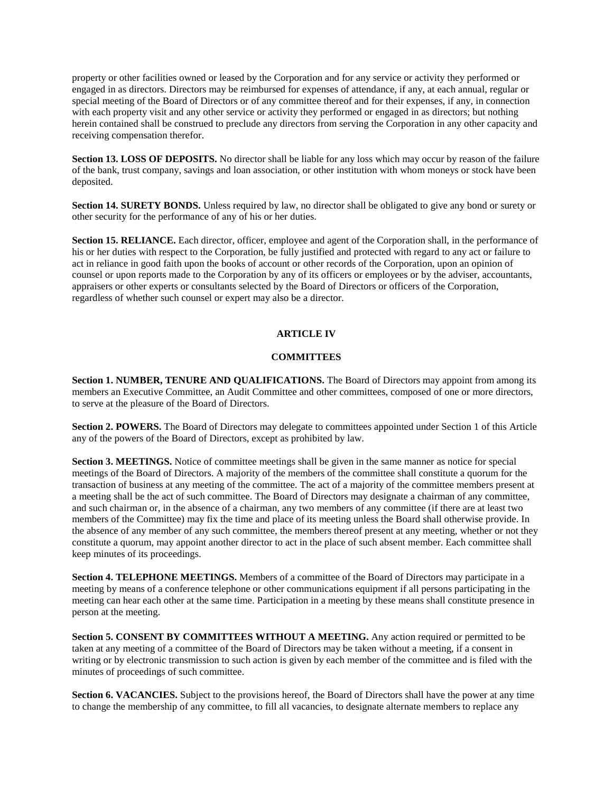property or other facilities owned or leased by the Corporation and for any service or activity they performed or engaged in as directors. Directors may be reimbursed for expenses of attendance, if any, at each annual, regular or special meeting of the Board of Directors or of any committee thereof and for their expenses, if any, in connection with each property visit and any other service or activity they performed or engaged in as directors; but nothing herein contained shall be construed to preclude any directors from serving the Corporation in any other capacity and receiving compensation therefor.

**Section 13. LOSS OF DEPOSITS.** No director shall be liable for any loss which may occur by reason of the failure of the bank, trust company, savings and loan association, or other institution with whom moneys or stock have been deposited.

**Section 14. SURETY BONDS.** Unless required by law, no director shall be obligated to give any bond or surety or other security for the performance of any of his or her duties.

**Section 15. RELIANCE.** Each director, officer, employee and agent of the Corporation shall, in the performance of his or her duties with respect to the Corporation, be fully justified and protected with regard to any act or failure to act in reliance in good faith upon the books of account or other records of the Corporation, upon an opinion of counsel or upon reports made to the Corporation by any of its officers or employees or by the adviser, accountants, appraisers or other experts or consultants selected by the Board of Directors or officers of the Corporation, regardless of whether such counsel or expert may also be a director.

# **ARTICLE IV**

# **COMMITTEES**

**Section 1. NUMBER, TENURE AND QUALIFICATIONS.** The Board of Directors may appoint from among its members an Executive Committee, an Audit Committee and other committees, composed of one or more directors, to serve at the pleasure of the Board of Directors.

**Section 2. POWERS.** The Board of Directors may delegate to committees appointed under Section 1 of this Article any of the powers of the Board of Directors, except as prohibited by law.

**Section 3. MEETINGS.** Notice of committee meetings shall be given in the same manner as notice for special meetings of the Board of Directors. A majority of the members of the committee shall constitute a quorum for the transaction of business at any meeting of the committee. The act of a majority of the committee members present at a meeting shall be the act of such committee. The Board of Directors may designate a chairman of any committee, and such chairman or, in the absence of a chairman, any two members of any committee (if there are at least two members of the Committee) may fix the time and place of its meeting unless the Board shall otherwise provide. In the absence of any member of any such committee, the members thereof present at any meeting, whether or not they constitute a quorum, may appoint another director to act in the place of such absent member. Each committee shall keep minutes of its proceedings.

**Section 4. TELEPHONE MEETINGS.** Members of a committee of the Board of Directors may participate in a meeting by means of a conference telephone or other communications equipment if all persons participating in the meeting can hear each other at the same time. Participation in a meeting by these means shall constitute presence in person at the meeting.

**Section 5. CONSENT BY COMMITTEES WITHOUT A MEETING.** Any action required or permitted to be taken at any meeting of a committee of the Board of Directors may be taken without a meeting, if a consent in writing or by electronic transmission to such action is given by each member of the committee and is filed with the minutes of proceedings of such committee.

**Section 6. VACANCIES.** Subject to the provisions hereof, the Board of Directors shall have the power at any time to change the membership of any committee, to fill all vacancies, to designate alternate members to replace any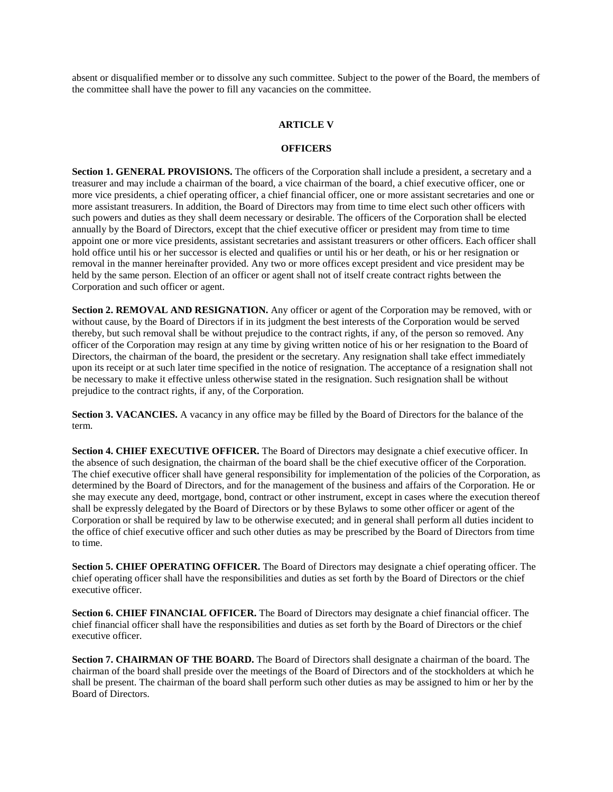absent or disqualified member or to dissolve any such committee. Subject to the power of the Board, the members of the committee shall have the power to fill any vacancies on the committee.

#### **ARTICLE V**

### **OFFICERS**

**Section 1. GENERAL PROVISIONS.** The officers of the Corporation shall include a president, a secretary and a treasurer and may include a chairman of the board, a vice chairman of the board, a chief executive officer, one or more vice presidents, a chief operating officer, a chief financial officer, one or more assistant secretaries and one or more assistant treasurers. In addition, the Board of Directors may from time to time elect such other officers with such powers and duties as they shall deem necessary or desirable. The officers of the Corporation shall be elected annually by the Board of Directors, except that the chief executive officer or president may from time to time appoint one or more vice presidents, assistant secretaries and assistant treasurers or other officers. Each officer shall hold office until his or her successor is elected and qualifies or until his or her death, or his or her resignation or removal in the manner hereinafter provided. Any two or more offices except president and vice president may be held by the same person. Election of an officer or agent shall not of itself create contract rights between the Corporation and such officer or agent.

**Section 2. REMOVAL AND RESIGNATION.** Any officer or agent of the Corporation may be removed, with or without cause, by the Board of Directors if in its judgment the best interests of the Corporation would be served thereby, but such removal shall be without prejudice to the contract rights, if any, of the person so removed. Any officer of the Corporation may resign at any time by giving written notice of his or her resignation to the Board of Directors, the chairman of the board, the president or the secretary. Any resignation shall take effect immediately upon its receipt or at such later time specified in the notice of resignation. The acceptance of a resignation shall not be necessary to make it effective unless otherwise stated in the resignation. Such resignation shall be without prejudice to the contract rights, if any, of the Corporation.

**Section 3. VACANCIES.** A vacancy in any office may be filled by the Board of Directors for the balance of the term.

**Section 4. CHIEF EXECUTIVE OFFICER.** The Board of Directors may designate a chief executive officer. In the absence of such designation, the chairman of the board shall be the chief executive officer of the Corporation. The chief executive officer shall have general responsibility for implementation of the policies of the Corporation, as determined by the Board of Directors, and for the management of the business and affairs of the Corporation. He or she may execute any deed, mortgage, bond, contract or other instrument, except in cases where the execution thereof shall be expressly delegated by the Board of Directors or by these Bylaws to some other officer or agent of the Corporation or shall be required by law to be otherwise executed; and in general shall perform all duties incident to the office of chief executive officer and such other duties as may be prescribed by the Board of Directors from time to time.

**Section 5. CHIEF OPERATING OFFICER.** The Board of Directors may designate a chief operating officer. The chief operating officer shall have the responsibilities and duties as set forth by the Board of Directors or the chief executive officer.

**Section 6. CHIEF FINANCIAL OFFICER.** The Board of Directors may designate a chief financial officer. The chief financial officer shall have the responsibilities and duties as set forth by the Board of Directors or the chief executive officer.

**Section 7. CHAIRMAN OF THE BOARD.** The Board of Directors shall designate a chairman of the board. The chairman of the board shall preside over the meetings of the Board of Directors and of the stockholders at which he shall be present. The chairman of the board shall perform such other duties as may be assigned to him or her by the Board of Directors.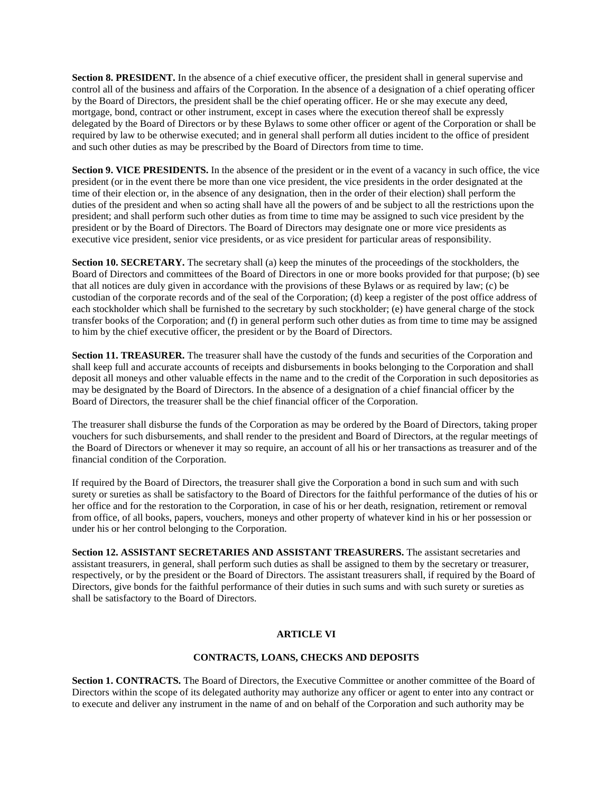**Section 8. PRESIDENT.** In the absence of a chief executive officer, the president shall in general supervise and control all of the business and affairs of the Corporation. In the absence of a designation of a chief operating officer by the Board of Directors, the president shall be the chief operating officer. He or she may execute any deed, mortgage, bond, contract or other instrument, except in cases where the execution thereof shall be expressly delegated by the Board of Directors or by these Bylaws to some other officer or agent of the Corporation or shall be required by law to be otherwise executed; and in general shall perform all duties incident to the office of president and such other duties as may be prescribed by the Board of Directors from time to time.

**Section 9. VICE PRESIDENTS.** In the absence of the president or in the event of a vacancy in such office, the vice president (or in the event there be more than one vice president, the vice presidents in the order designated at the time of their election or, in the absence of any designation, then in the order of their election) shall perform the duties of the president and when so acting shall have all the powers of and be subject to all the restrictions upon the president; and shall perform such other duties as from time to time may be assigned to such vice president by the president or by the Board of Directors. The Board of Directors may designate one or more vice presidents as executive vice president, senior vice presidents, or as vice president for particular areas of responsibility.

**Section 10. SECRETARY.** The secretary shall (a) keep the minutes of the proceedings of the stockholders, the Board of Directors and committees of the Board of Directors in one or more books provided for that purpose; (b) see that all notices are duly given in accordance with the provisions of these Bylaws or as required by law; (c) be custodian of the corporate records and of the seal of the Corporation; (d) keep a register of the post office address of each stockholder which shall be furnished to the secretary by such stockholder; (e) have general charge of the stock transfer books of the Corporation; and (f) in general perform such other duties as from time to time may be assigned to him by the chief executive officer, the president or by the Board of Directors.

**Section 11. TREASURER.** The treasurer shall have the custody of the funds and securities of the Corporation and shall keep full and accurate accounts of receipts and disbursements in books belonging to the Corporation and shall deposit all moneys and other valuable effects in the name and to the credit of the Corporation in such depositories as may be designated by the Board of Directors. In the absence of a designation of a chief financial officer by the Board of Directors, the treasurer shall be the chief financial officer of the Corporation.

The treasurer shall disburse the funds of the Corporation as may be ordered by the Board of Directors, taking proper vouchers for such disbursements, and shall render to the president and Board of Directors, at the regular meetings of the Board of Directors or whenever it may so require, an account of all his or her transactions as treasurer and of the financial condition of the Corporation.

If required by the Board of Directors, the treasurer shall give the Corporation a bond in such sum and with such surety or sureties as shall be satisfactory to the Board of Directors for the faithful performance of the duties of his or her office and for the restoration to the Corporation, in case of his or her death, resignation, retirement or removal from office, of all books, papers, vouchers, moneys and other property of whatever kind in his or her possession or under his or her control belonging to the Corporation.

**Section 12. ASSISTANT SECRETARIES AND ASSISTANT TREASURERS.** The assistant secretaries and assistant treasurers, in general, shall perform such duties as shall be assigned to them by the secretary or treasurer, respectively, or by the president or the Board of Directors. The assistant treasurers shall, if required by the Board of Directors, give bonds for the faithful performance of their duties in such sums and with such surety or sureties as shall be satisfactory to the Board of Directors.

# **ARTICLE VI**

### **CONTRACTS, LOANS, CHECKS AND DEPOSITS**

**Section 1. CONTRACTS.** The Board of Directors, the Executive Committee or another committee of the Board of Directors within the scope of its delegated authority may authorize any officer or agent to enter into any contract or to execute and deliver any instrument in the name of and on behalf of the Corporation and such authority may be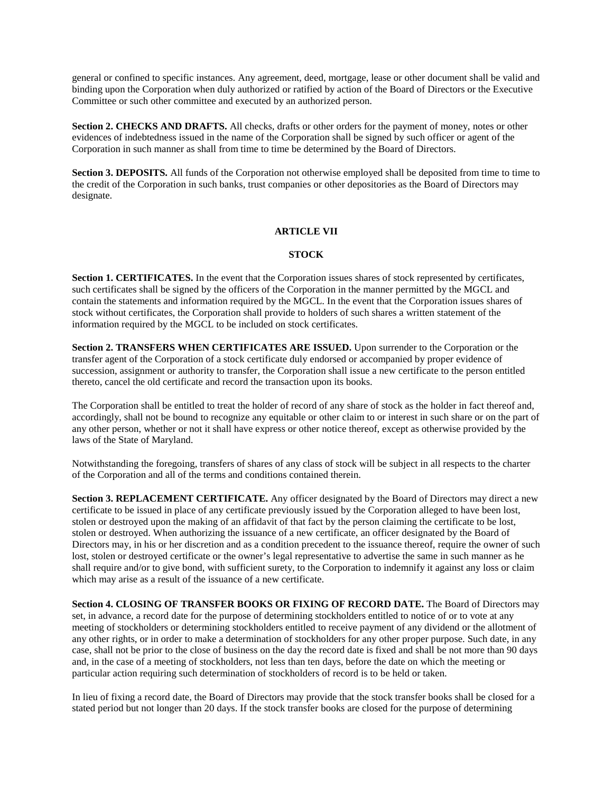general or confined to specific instances. Any agreement, deed, mortgage, lease or other document shall be valid and binding upon the Corporation when duly authorized or ratified by action of the Board of Directors or the Executive Committee or such other committee and executed by an authorized person.

**Section 2. CHECKS AND DRAFTS.** All checks, drafts or other orders for the payment of money, notes or other evidences of indebtedness issued in the name of the Corporation shall be signed by such officer or agent of the Corporation in such manner as shall from time to time be determined by the Board of Directors.

**Section 3. DEPOSITS.** All funds of the Corporation not otherwise employed shall be deposited from time to time to the credit of the Corporation in such banks, trust companies or other depositories as the Board of Directors may designate.

# **ARTICLE VII**

### **STOCK**

**Section 1. CERTIFICATES.** In the event that the Corporation issues shares of stock represented by certificates, such certificates shall be signed by the officers of the Corporation in the manner permitted by the MGCL and contain the statements and information required by the MGCL. In the event that the Corporation issues shares of stock without certificates, the Corporation shall provide to holders of such shares a written statement of the information required by the MGCL to be included on stock certificates.

**Section 2. TRANSFERS WHEN CERTIFICATES ARE ISSUED.** Upon surrender to the Corporation or the transfer agent of the Corporation of a stock certificate duly endorsed or accompanied by proper evidence of succession, assignment or authority to transfer, the Corporation shall issue a new certificate to the person entitled thereto, cancel the old certificate and record the transaction upon its books.

The Corporation shall be entitled to treat the holder of record of any share of stock as the holder in fact thereof and, accordingly, shall not be bound to recognize any equitable or other claim to or interest in such share or on the part of any other person, whether or not it shall have express or other notice thereof, except as otherwise provided by the laws of the State of Maryland.

Notwithstanding the foregoing, transfers of shares of any class of stock will be subject in all respects to the charter of the Corporation and all of the terms and conditions contained therein.

**Section 3. REPLACEMENT CERTIFICATE.** Any officer designated by the Board of Directors may direct a new certificate to be issued in place of any certificate previously issued by the Corporation alleged to have been lost, stolen or destroyed upon the making of an affidavit of that fact by the person claiming the certificate to be lost, stolen or destroyed. When authorizing the issuance of a new certificate, an officer designated by the Board of Directors may, in his or her discretion and as a condition precedent to the issuance thereof, require the owner of such lost, stolen or destroyed certificate or the owner's legal representative to advertise the same in such manner as he shall require and/or to give bond, with sufficient surety, to the Corporation to indemnify it against any loss or claim which may arise as a result of the issuance of a new certificate.

**Section 4. CLOSING OF TRANSFER BOOKS OR FIXING OF RECORD DATE.** The Board of Directors may set, in advance, a record date for the purpose of determining stockholders entitled to notice of or to vote at any meeting of stockholders or determining stockholders entitled to receive payment of any dividend or the allotment of any other rights, or in order to make a determination of stockholders for any other proper purpose. Such date, in any case, shall not be prior to the close of business on the day the record date is fixed and shall be not more than 90 days and, in the case of a meeting of stockholders, not less than ten days, before the date on which the meeting or particular action requiring such determination of stockholders of record is to be held or taken.

In lieu of fixing a record date, the Board of Directors may provide that the stock transfer books shall be closed for a stated period but not longer than 20 days. If the stock transfer books are closed for the purpose of determining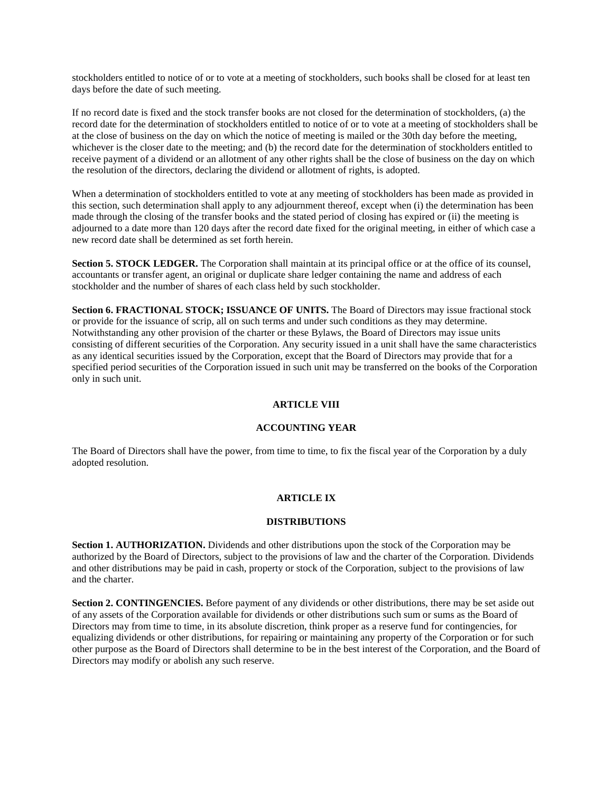stockholders entitled to notice of or to vote at a meeting of stockholders, such books shall be closed for at least ten days before the date of such meeting.

If no record date is fixed and the stock transfer books are not closed for the determination of stockholders, (a) the record date for the determination of stockholders entitled to notice of or to vote at a meeting of stockholders shall be at the close of business on the day on which the notice of meeting is mailed or the 30th day before the meeting, whichever is the closer date to the meeting; and (b) the record date for the determination of stockholders entitled to receive payment of a dividend or an allotment of any other rights shall be the close of business on the day on which the resolution of the directors, declaring the dividend or allotment of rights, is adopted.

When a determination of stockholders entitled to vote at any meeting of stockholders has been made as provided in this section, such determination shall apply to any adjournment thereof, except when (i) the determination has been made through the closing of the transfer books and the stated period of closing has expired or (ii) the meeting is adjourned to a date more than 120 days after the record date fixed for the original meeting, in either of which case a new record date shall be determined as set forth herein.

**Section 5. STOCK LEDGER.** The Corporation shall maintain at its principal office or at the office of its counsel, accountants or transfer agent, an original or duplicate share ledger containing the name and address of each stockholder and the number of shares of each class held by such stockholder.

**Section 6. FRACTIONAL STOCK; ISSUANCE OF UNITS.** The Board of Directors may issue fractional stock or provide for the issuance of scrip, all on such terms and under such conditions as they may determine. Notwithstanding any other provision of the charter or these Bylaws, the Board of Directors may issue units consisting of different securities of the Corporation. Any security issued in a unit shall have the same characteristics as any identical securities issued by the Corporation, except that the Board of Directors may provide that for a specified period securities of the Corporation issued in such unit may be transferred on the books of the Corporation only in such unit.

### **ARTICLE VIII**

#### **ACCOUNTING YEAR**

The Board of Directors shall have the power, from time to time, to fix the fiscal year of the Corporation by a duly adopted resolution.

#### **ARTICLE IX**

#### **DISTRIBUTIONS**

**Section 1. AUTHORIZATION.** Dividends and other distributions upon the stock of the Corporation may be authorized by the Board of Directors, subject to the provisions of law and the charter of the Corporation. Dividends and other distributions may be paid in cash, property or stock of the Corporation, subject to the provisions of law and the charter.

**Section 2. CONTINGENCIES.** Before payment of any dividends or other distributions, there may be set aside out of any assets of the Corporation available for dividends or other distributions such sum or sums as the Board of Directors may from time to time, in its absolute discretion, think proper as a reserve fund for contingencies, for equalizing dividends or other distributions, for repairing or maintaining any property of the Corporation or for such other purpose as the Board of Directors shall determine to be in the best interest of the Corporation, and the Board of Directors may modify or abolish any such reserve.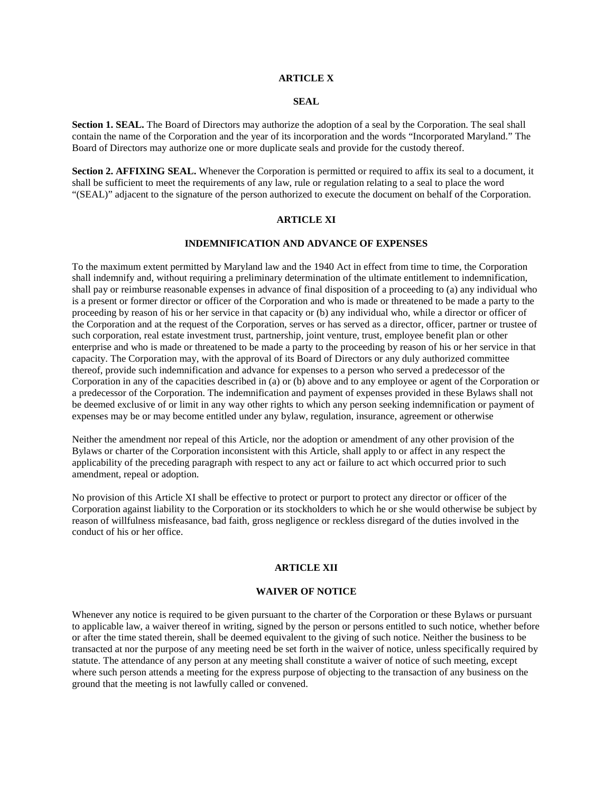# **ARTICLE X**

# **SEAL**

**Section 1. SEAL.** The Board of Directors may authorize the adoption of a seal by the Corporation. The seal shall contain the name of the Corporation and the year of its incorporation and the words "Incorporated Maryland." The Board of Directors may authorize one or more duplicate seals and provide for the custody thereof.

**Section 2. AFFIXING SEAL.** Whenever the Corporation is permitted or required to affix its seal to a document, it shall be sufficient to meet the requirements of any law, rule or regulation relating to a seal to place the word "(SEAL)" adjacent to the signature of the person authorized to execute the document on behalf of the Corporation.

### **ARTICLE XI**

#### **INDEMNIFICATION AND ADVANCE OF EXPENSES**

To the maximum extent permitted by Maryland law and the 1940 Act in effect from time to time, the Corporation shall indemnify and, without requiring a preliminary determination of the ultimate entitlement to indemnification, shall pay or reimburse reasonable expenses in advance of final disposition of a proceeding to (a) any individual who is a present or former director or officer of the Corporation and who is made or threatened to be made a party to the proceeding by reason of his or her service in that capacity or (b) any individual who, while a director or officer of the Corporation and at the request of the Corporation, serves or has served as a director, officer, partner or trustee of such corporation, real estate investment trust, partnership, joint venture, trust, employee benefit plan or other enterprise and who is made or threatened to be made a party to the proceeding by reason of his or her service in that capacity. The Corporation may, with the approval of its Board of Directors or any duly authorized committee thereof, provide such indemnification and advance for expenses to a person who served a predecessor of the Corporation in any of the capacities described in (a) or (b) above and to any employee or agent of the Corporation or a predecessor of the Corporation. The indemnification and payment of expenses provided in these Bylaws shall not be deemed exclusive of or limit in any way other rights to which any person seeking indemnification or payment of expenses may be or may become entitled under any bylaw, regulation, insurance, agreement or otherwise

Neither the amendment nor repeal of this Article, nor the adoption or amendment of any other provision of the Bylaws or charter of the Corporation inconsistent with this Article, shall apply to or affect in any respect the applicability of the preceding paragraph with respect to any act or failure to act which occurred prior to such amendment, repeal or adoption.

No provision of this Article XI shall be effective to protect or purport to protect any director or officer of the Corporation against liability to the Corporation or its stockholders to which he or she would otherwise be subject by reason of willfulness misfeasance, bad faith, gross negligence or reckless disregard of the duties involved in the conduct of his or her office.

#### **ARTICLE XII**

#### **WAIVER OF NOTICE**

Whenever any notice is required to be given pursuant to the charter of the Corporation or these Bylaws or pursuant to applicable law, a waiver thereof in writing, signed by the person or persons entitled to such notice, whether before or after the time stated therein, shall be deemed equivalent to the giving of such notice. Neither the business to be transacted at nor the purpose of any meeting need be set forth in the waiver of notice, unless specifically required by statute. The attendance of any person at any meeting shall constitute a waiver of notice of such meeting, except where such person attends a meeting for the express purpose of objecting to the transaction of any business on the ground that the meeting is not lawfully called or convened.